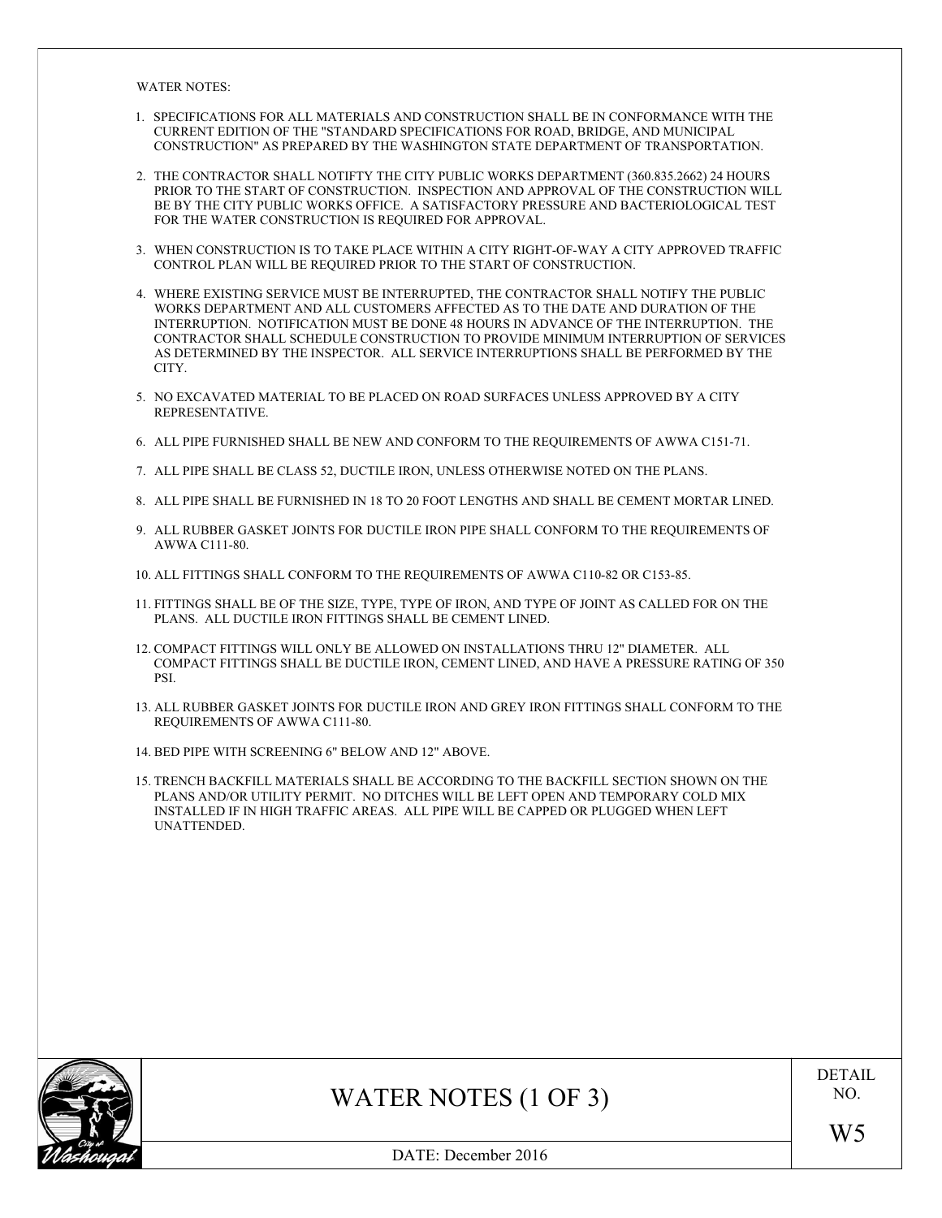WATER NOTES:

- 1. SPECIFICATIONS FOR ALL MATERIALS AND CONSTRUCTION SHALL BE IN CONFORMANCE WITH THE CURRENT EDITION OF THE "STANDARD SPECIFICATIONS FOR ROAD, BRIDGE, AND MUNICIPAL CONSTRUCTION" AS PREPARED BY THE WASHINGTON STATE DEPARTMENT OF TRANSPORTATION. 1. SPECIFICATIONS FOR ALL MATERIALS AND CONSTRUCTION SHALL BE IN CONFORMANCE WITH THE CURRENT EDITION OF THE "STANDARD SPECIFICATIONS FOR ROAD, BRIDGE, AND MUNICIPAL CONSTRUCTION" AS PREPARED BY THE WASHINGTON STATE DEPART
- PRIOR TO THE START OF CONSTRUCTION. INSPECTION AND APPROVAL OF THE CONSTRUCTION WILL BE BY THE CITY PUBLIC WORKS OFFICE. A SATISFACTORY PRESSURE AND BACTERIOLOGICAL TEST FOR THE WATER CONSTRUCTION IS REQUIRED FOR APPROVAL. 3. THE CONTRACTOR SHALL NOTIFTY THE CITY PUBLIC WORKS DEPARTMENT (360.835.2662) 24 HOURS<br>PRIOR TO THE START OF CONSTRUCTION. INSPECTION AND APPROVAL OF THE CONSTRUCTION WILL<br>BE BY THE CITY PUBLIC WORKS OFFICE. A SATISFACTO
- CONTROL PLAN WILL BE REQUIRED PRIOR TO THE START OF CONSTRUCTION. 3. WHEN CONSTRUCTION IS TO TAKE PLACE WITHIN A CITY RIGHT-OF-WAY A CITY APPROVED TRAFFIC CONTROL PLAN WILL BE REQUIRED PRIOR TO THE START OF CONSTRUCTION.<br>4. WHERE EXISTING SERVICE MUST BE INTERRUPTED, THE CONTRACTOR SHALL
- WORKS DEPARTMENT AND ALL CUSTOMERS AFFECTED AS TO THE DATE AND DURATION OF THE INTERRUPTION. NOTIFICATION MUST BE DONE 48 HOURS IN ADVANCE OF THE INTERRUPTION. THE CONTRACTOR SHALL SCHEDULE CONSTRUCTION TO PROVIDE MINIMUM INTERRUPTION OF SERVICES AS DETERMINED BY THE INSPECTOR. ALL SERVICE INTERRUPTIONS SHALL BE PERFORMED BY THE CITY. INTERRUPTION. NOTIFICATION MUST BE DONE 48 HOURS IN ADVANCE OF THE INTERRUPTION. THE CONTRACTOR SHALL SCHEDULE CONSTRUCTION TO PROVIDE MINIMUM INTERRUPTION OF SERVICES AS DETERMINED BY THE INSPECTOR. ALL SERVICE INTERRUPTI
- REPRESENTATIVE. 5. NO EXCAVATED MATERIAL TO BE PLACED ON ROAD SURFACES UNLESS APPROVED BY A CITY REPRESENTATIVE.<br>6. ALL PIPE FURNISHED SHALL BE NEW AND CONFORM TO THE REQUIREMENTS OF AWWA C151-7<br>7. ALL PIPE SHALL BE CLASS 52, DUCTILE IRON
- 6. ALL PIPE FURNISHED SHALL BE NEW AND CONFORM TO THE REQUIREMENTS OF AWWA C151-71.
- 
- 8. ALL PIPE FURNISHED SHALL BE NEW AND CONFORM TO THE REQUIREMENTS OF AWWA C151-71.<br>7. ALL PIPE SHALL BE CLASS 52, DUCTILE IRON, UNLESS OTHERWISE NOTED ON THE PLANS.<br>8. ALL PIPE SHALL BE FURNISHED IN 18 TO 20 FOOT LENGTHS
- 9. ALL PIPE SHALL BE CLASS 52, DUCTILE IRON, UNLESS OTHERWISE NOTED ON THE PLANS.<br>19. ALL PIPE SHALL BE FURNISHED IN 18 TO 20 FOOT LENGTHS AND SHALL BE CEMENT MORTAR LINED.<br>19. ALL RUBBER GASKET JOINTS FOR DUCTILE IRON PIP AWWA C111-80. 10. ALL PIPE SHALL BE FURNISHED IN 18 TO 20 FOOT LENGTHS AND SHALL BE CEMENT MORTA<br>10. ALL RUBBER GASKET JOINTS FOR DUCTILE IRON PIPE SHALL CONFORM TO THE REQUIREM<br>10. ALL FITTINGS SHALL CONFORM TO THE REQUIREMENTS OF AWWA
- 
- 9. ALL RUBBER GASKET JOINTS FOR DUCTILE IRON PIPE SHALL CONFORM TO THE REQUIREMENTS OF AWWA CI11-80.<br>10. ALL FITTINGS SHALL CONFORM TO THE REQUIREMENTS OF AWWA CI10-82 OR C153-85.<br>11. FITTINGS SHALL BE OF THE SIZE, TYPE, T PLANS. ALL DUCTILE IRON FITTINGS SHALL BE CEMENT LINED.
- 10. ALL FITTINGS SHALL CONFORM TO THE REQUIREMENTS OF AWWA C110-82 OR C153-85.<br>11. FITTINGS SHALL BE OF THE SIZE, TYPE, TYPE OF IRON, AND TYPE OF JOINT AS CALLED FOR ON THE<br>PLANS. ALL DUCTILE IRON FITTINGS SHALL BE CEMENT PSI. 12. COMPACT FITTINGS WILL ONLY BE ALLOWED ON INSTALLATIONS THRU 12" DIAMETER. ALL COMPACT FITTINGS SHALL BE DUCTILE IRON, CEMENT LINED, AND HAVE A PRESSURE RATING OF 350 PSI.<br>13. ALL RUBBER GASKET JOINTS FOR DUCTILE IRON A
- REQUIREMENTS OF AWWA C111-80. 13. ALL RUBBER GASKET JOINTS FOR DUCTILE IRON AND GREY IRON FITTINGS SHALL CONFORM TO THE REQUIREMENTS OF AWWA C111-80.<br>14. BED PIPE WITH SCREENING 6" BELOW AND 12" ABOVE.
- 
- 15. TRENCH BACKFILL MATERIALS SHALL BE ACCORDING TO THE BACKFILL SECTION SHOWN ON THE PLANS AND/OR UTILITY PERMIT. NO DITCHES WILL BE LEFT OPEN AND TEMPORARY COLD MIX INSTALLED IF IN HIGH TRAFFIC AREAS. ALL PIPE WILL BE CAPPED OR PLUGGED WHEN LEFT UNATTENDED.



WATER NOTES (1 OF 3)

DETAIL NO.

DATE: December 2016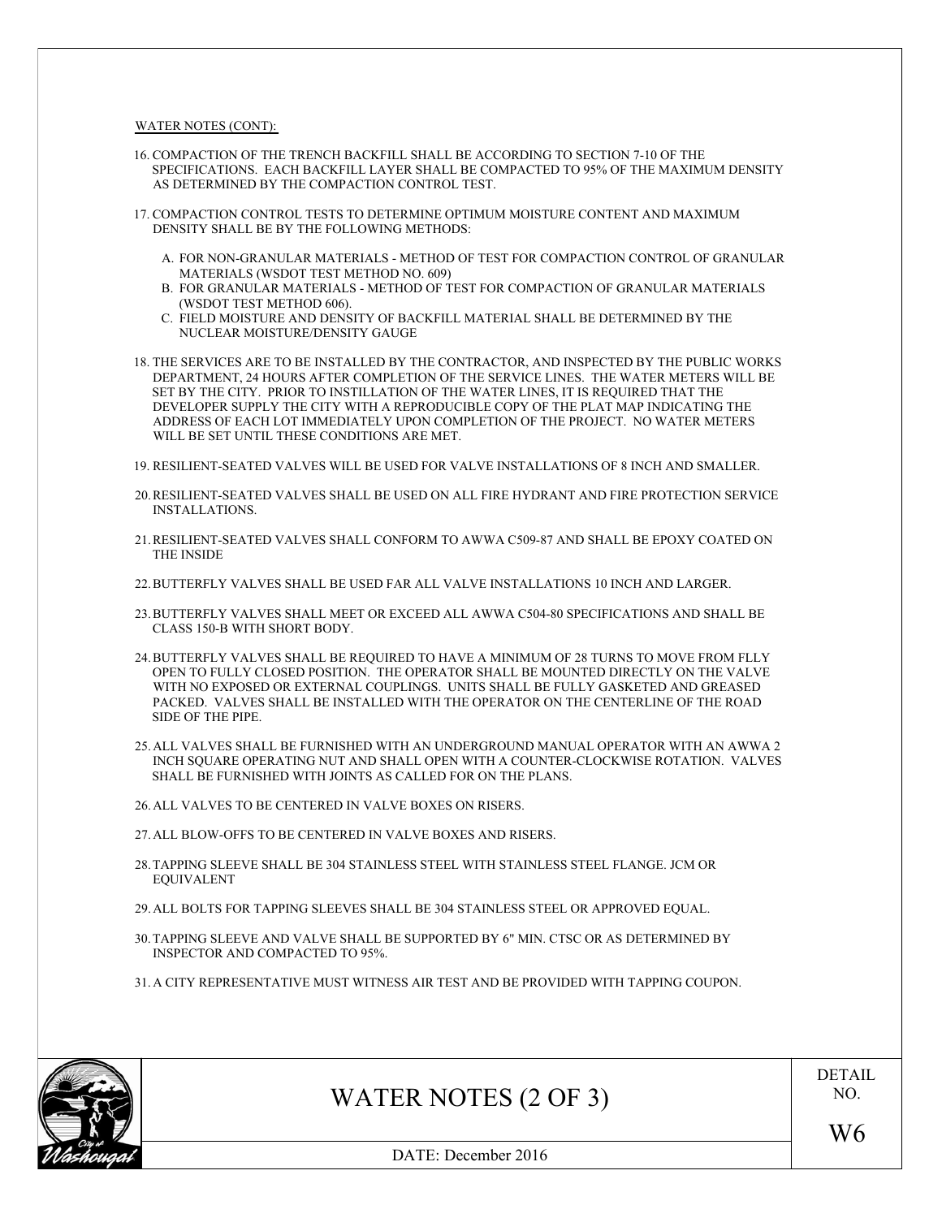WATER NOTES (CONT):

- 16. COMPACTION OF THE TRENCH BACKFILL SHALL BE ACCORDING TO SECTION 7-10 OF THE SPECIFICATIONS. EACH BACKFILL LAYER SHALL BE COMPACTED TO 95% OF THE MAXIMUM DENSITY AS DETERMINED BY THE COMPACTION CONTROL TEST. 16. COMPACTION OF THE TRENCH BACKFILL SHALL BE ACCORDING TO SECTION 7-10 OF THE SPECIFICATIONS. EACH BACKFILL LAYER SHALL BE COMPACTED TO 95% OF THE MAXIMUM DENSITY AS DETERMINED BY THE COMPACTION CONTROL TEST.<br>17. COMPACT
- DENSITY SHALL BE BY THE FOLLOWING METHODS: 17. COMPACTION CONTROL TESTS TO DETERMINE OPTIMUM MOISTURE CONTENT AND MAXIMUM DENSITY SHALL BE BY THE FOLLOWING METHODS:<br>A. FOR NON-GRANULAR MATERIALS - METHOD OF TEST FOR COMPACTION CONTROL OF GRANULAR
	- MATERIALS (WSDOT TEST METHOD NO. 609) A. FOR NON-GRANULAR MATERIALS - METHOD OF TEST FOR COMPACTION CONTROL OF GRANULAR MATERIALS (WSDOT TEST METHOD NO. 609)<br>B. FOR GRANULAR MATERIALS - METHOD OF TEST FOR COMPACTION OF GRANULAR MATERIALS<br>(WSDOT TEST METHOD 606
	- B. FOR GRANULAR MATERIALS METHOD OF TEST FOR COMPACTION OF GRANULAR MATERIALS (WSDOT TEST METHOD 606).
	- NUCLEAR MOISTURE/DENSITY GAUGE
- 18. FOR GRANULAR MATERIALS METHOD OF TEST FOR COMPACTION OF GRANULAR MATERIALS<br>
(WSDOT TEST METHOD 606).<br>
2. FIELD MOISTURE AND DENSITY OF BACKFILL MATERIAL SHALL BE DETERMINED BY THE<br>
NUCLEAR MOISTURE/DENSITY GAUGE<br>
18. DEPARTMENT, 24 HOURS AFTER COMPLETION OF THE SERVICE LINES. THE WATER METERS WILL BE SET BY THE CITY. PRIOR TO INSTILLATION OF THE WATER LINES, IT IS REQUIRED THAT THE DEVELOPER SUPPLY THE CITY WITH A REPRODUCIBLE COPY OF THE PLAT MAP INDICATING THE ADDRESS OF EACH LOT IMMEDIATELY UPON COMPLETION OF THE PROJECT. NO WATER METERS WILL BE SET UNTIL THESE CONDITIONS ARE MET.
- 19. RESILIENT-SEATED VALVES WILL BE USED FOR VALVE INSTALLATIONS OF 8 INCH AND SMALLER.
- 20.RESILIENT-SEATED VALVES SHALL BE USED ON ALL FIRE HYDRANT AND FIRE PROTECTION SERVICE INSTALLATIONS.
- 21.RESILIENT-SEATED VALVES SHALL CONFORM TO AWWA C509-87 AND SHALL BE EPOXY COATED ON THE INSIDE
- 22.BUTTERFLY VALVES SHALL BE USED FAR ALL VALVE INSTALLATIONS 10 INCH AND LARGER.
- 23.BUTTERFLY VALVES SHALL MEET OR EXCEED ALL AWWA C504-80 SPECIFICATIONS AND SHALL BE CLASS 150-B WITH SHORT BODY.
- 24.BUTTERFLY VALVES SHALL BE REQUIRED TO HAVE A MINIMUM OF 28 TURNS TO MOVE FROM FLLY OPEN TO FULLY CLOSED POSITION. THE OPERATOR SHALL BE MOUNTED DIRECTLY ON THE VALVE WITH NO EXPOSED OR EXTERNAL COUPLINGS. UNITS SHALL BE FULLY GASKETED AND GREASED PACKED. VALVES SHALL BE INSTALLED WITH THE OPERATOR ON THE CENTERLINE OF THE ROAD SIDE OF THE PIPE. OPEN TO FULLY CLOSED POSITION. THE OPERATOR SHALL BE MOUNTED DIRECTLY ON THE VALVE<br>WITH NO EXPOSED OR EXTERNAL COUPLINGS. UNITS SHALL BE FULLY GASKETED AND GREASED<br>PACKED. VALVES SHALL BE INSTALLED WITH THE OPERATOR ON THE
- SHALL BE FURNISHED WITH JOINTS AS CALLED FOR ON THE PLANS. 25. ALL VALVES SHALL BE FURNISHED WITH AN UNDERGROUND M<br>INCH SQUARE OPERATING NUT AND SHALL OPEN WITH A COUN<br>SHALL BE FURNISHED WITH JOINTS AS CALLED FOR ON THE PLA<br>26. ALL VALVES TO BE CENTERED IN VALVE BOXES ON RISERS. INCH SQUARE OPERATING NUT AND SHALL OPEN WITH A COUNTER-OSHALL BE FURNISHED WITH JOINTS AS CALLED FOR ON THE PLANS.<br>26. ALL VALVES TO BE CENTERED IN VALVE BOXES ON RISERS.<br>27. ALL BLOW-OFFS TO BE CENTERED IN VALVE BOXES AN

- 
- 28.TAPPING SLEEVE SHALL BE 304 STAINLESS STEEL WITH STAINLESS STEEL FLANGE. JCM OR EQUIVALENT 29. ALL BLOW-OFFS TO BE CENTERED IN VALVE BOXES AND RISERS.<br>28. TAPPING SLEEVE SHALL BE 304 STAINLESS STEEL WITH STAINLESS STEEL FLANGE. JCM OR<br>29. ALL BOLTS FOR TAPPING SLEEVES SHALL BE 304 STAINLESS STEEL OR APPROVED EQU
- 
- 30.TAPPING SLEEVE AND VALVE SHALL BE SUPPORTED BY 6" MIN. CTSC OR AS DETERMINED BY INSPECTOR AND COMPACTED TO 95%. 29. ALL BOLTS FOR TAPPING SLEEVES SHALL BE 304 STAINLESS STEEL OR APPROVED EQUAL.<br>30. TAPPING SLEEVE AND VALVE SHALL BE SUPPORTED BY 6" MIN. CTSC OR AS DETERMINED BY<br>INSPECTOR AND COMPACTED TO 95%.<br>31. A CITY REPRESENTATIV
- 



WATER NOTES (2 OF 3)

DETAIL NO.

DATE: December 2016